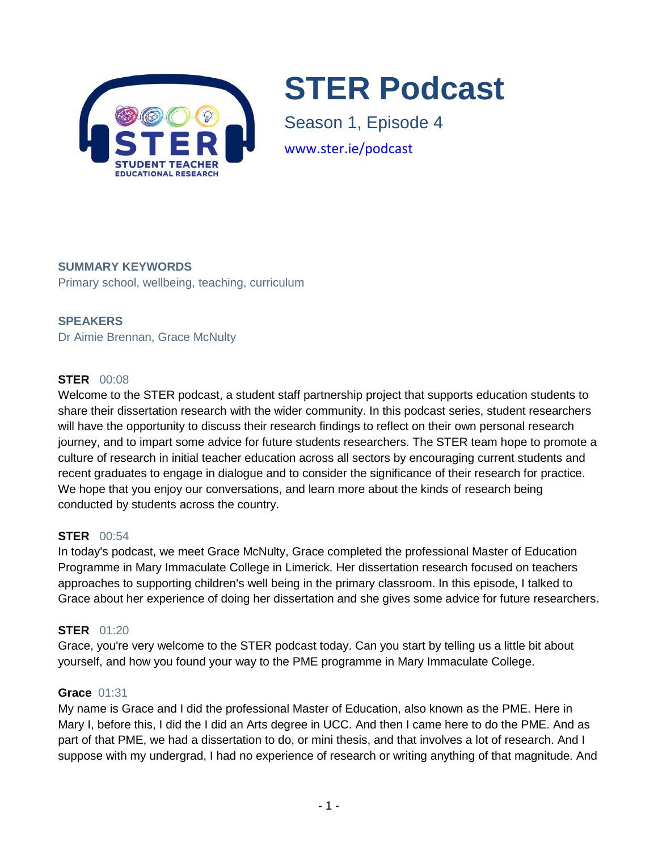

# **STER Podcast**

Season 1, Episode 4 www.ster.ie/podcast

## **SUMMARY KEYWORDS**

Primary school, wellbeing, teaching, curriculum

## **SPEAKERS**

Dr Aimie Brennan, Grace McNulty

## **STER** 00:08

Welcome to the STER podcast, a student staff partnership project that supports education students to share their dissertation research with the wider community. In this podcast series, student researchers will have the opportunity to discuss their research findings to reflect on their own personal research journey, and to impart some advice for future students researchers. The STER team hope to promote a culture of research in initial teacher education across all sectors by encouraging current students and recent graduates to engage in dialogue and to consider the significance of their research for practice. We hope that you enjoy our conversations, and learn more about the kinds of research being conducted by students across the country.

## **STER** 00:54

In today's podcast, we meet Grace McNulty, Grace completed the professional Master of Education Programme in Mary Immaculate College in Limerick. Her dissertation research focused on teachers approaches to supporting children's well being in the primary classroom. In this episode, I talked to Grace about her experience of doing her dissertation and she gives some advice for future researchers.

## **STER** 01:20

Grace, you're very welcome to the STER podcast today. Can you start by telling us a little bit about yourself, and how you found your way to the PME programme in Mary Immaculate College.

#### **Grace** 01:31

My name is Grace and I did the professional Master of Education, also known as the PME. Here in Mary I, before this, I did the I did an Arts degree in UCC. And then I came here to do the PME. And as part of that PME, we had a dissertation to do, or mini thesis, and that involves a lot of research. And I suppose with my undergrad, I had no experience of research or writing anything of that magnitude. And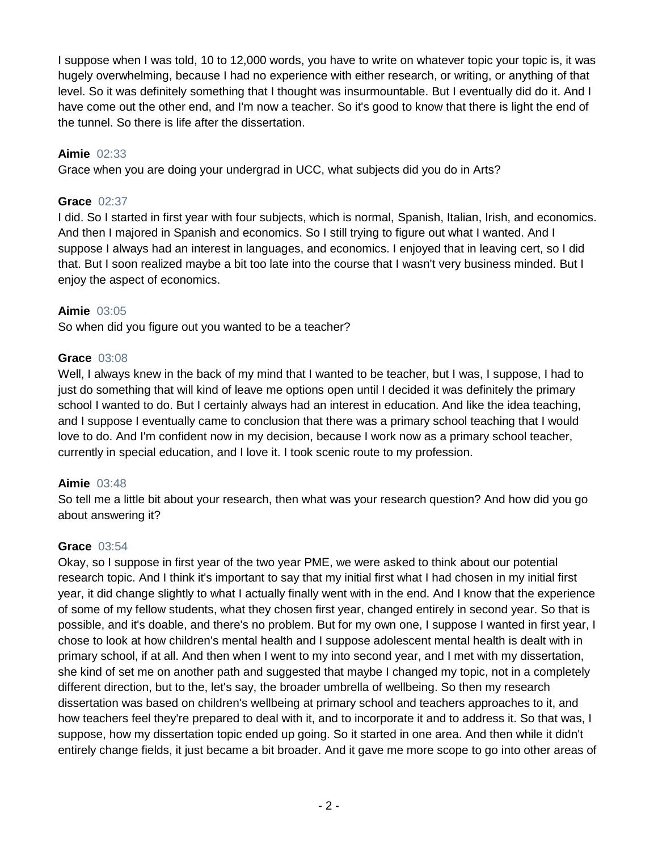I suppose when I was told, 10 to 12,000 words, you have to write on whatever topic your topic is, it was hugely overwhelming, because I had no experience with either research, or writing, or anything of that level. So it was definitely something that I thought was insurmountable. But I eventually did do it. And I have come out the other end, and I'm now a teacher. So it's good to know that there is light the end of the tunnel. So there is life after the dissertation.

## **Aimie** 02:33

Grace when you are doing your undergrad in UCC, what subjects did you do in Arts?

# **Grace** 02:37

I did. So I started in first year with four subjects, which is normal, Spanish, Italian, Irish, and economics. And then I majored in Spanish and economics. So I still trying to figure out what I wanted. And I suppose I always had an interest in languages, and economics. I enjoyed that in leaving cert, so I did that. But I soon realized maybe a bit too late into the course that I wasn't very business minded. But I enjoy the aspect of economics.

# **Aimie** 03:05

So when did you figure out you wanted to be a teacher?

## **Grace** 03:08

Well, I always knew in the back of my mind that I wanted to be teacher, but I was, I suppose, I had to just do something that will kind of leave me options open until I decided it was definitely the primary school I wanted to do. But I certainly always had an interest in education. And like the idea teaching, and I suppose I eventually came to conclusion that there was a primary school teaching that I would love to do. And I'm confident now in my decision, because I work now as a primary school teacher, currently in special education, and I love it. I took scenic route to my profession.

## **Aimie** 03:48

So tell me a little bit about your research, then what was your research question? And how did you go about answering it?

## **Grace** 03:54

Okay, so I suppose in first year of the two year PME, we were asked to think about our potential research topic. And I think it's important to say that my initial first what I had chosen in my initial first year, it did change slightly to what I actually finally went with in the end. And I know that the experience of some of my fellow students, what they chosen first year, changed entirely in second year. So that is possible, and it's doable, and there's no problem. But for my own one, I suppose I wanted in first year, I chose to look at how children's mental health and I suppose adolescent mental health is dealt with in primary school, if at all. And then when I went to my into second year, and I met with my dissertation, she kind of set me on another path and suggested that maybe I changed my topic, not in a completely different direction, but to the, let's say, the broader umbrella of wellbeing. So then my research dissertation was based on children's wellbeing at primary school and teachers approaches to it, and how teachers feel they're prepared to deal with it, and to incorporate it and to address it. So that was, I suppose, how my dissertation topic ended up going. So it started in one area. And then while it didn't entirely change fields, it just became a bit broader. And it gave me more scope to go into other areas of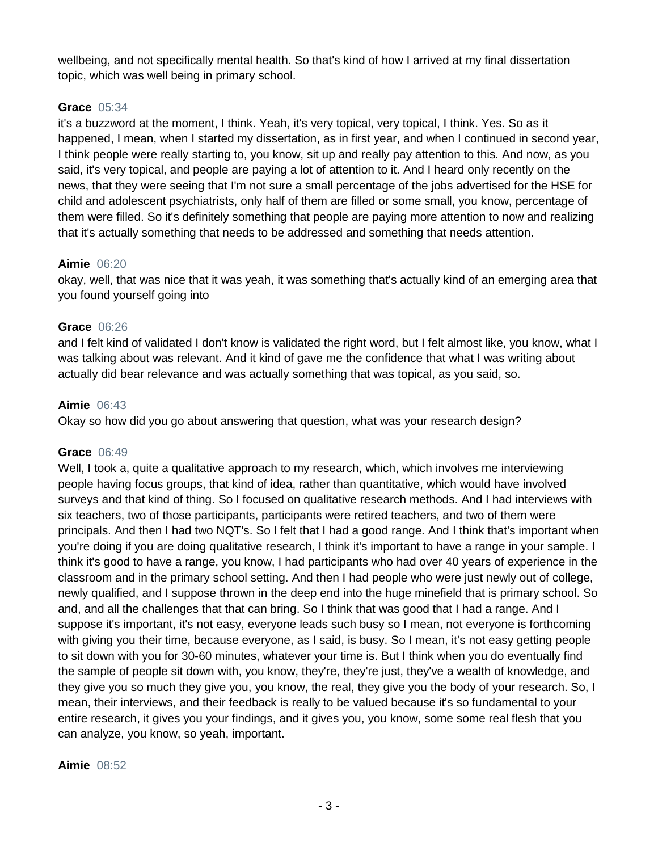wellbeing, and not specifically mental health. So that's kind of how I arrived at my final dissertation topic, which was well being in primary school.

#### **Grace** 05:34

it's a buzzword at the moment, I think. Yeah, it's very topical, very topical, I think. Yes. So as it happened, I mean, when I started my dissertation, as in first year, and when I continued in second year, I think people were really starting to, you know, sit up and really pay attention to this. And now, as you said, it's very topical, and people are paying a lot of attention to it. And I heard only recently on the news, that they were seeing that I'm not sure a small percentage of the jobs advertised for the HSE for child and adolescent psychiatrists, only half of them are filled or some small, you know, percentage of them were filled. So it's definitely something that people are paying more attention to now and realizing that it's actually something that needs to be addressed and something that needs attention.

#### **Aimie** 06:20

okay, well, that was nice that it was yeah, it was something that's actually kind of an emerging area that you found yourself going into

#### **Grace** 06:26

and I felt kind of validated I don't know is validated the right word, but I felt almost like, you know, what I was talking about was relevant. And it kind of gave me the confidence that what I was writing about actually did bear relevance and was actually something that was topical, as you said, so.

#### **Aimie** 06:43

Okay so how did you go about answering that question, what was your research design?

#### **Grace** 06:49

Well, I took a, quite a qualitative approach to my research, which, which involves me interviewing people having focus groups, that kind of idea, rather than quantitative, which would have involved surveys and that kind of thing. So I focused on qualitative research methods. And I had interviews with six teachers, two of those participants, participants were retired teachers, and two of them were principals. And then I had two NQT's. So I felt that I had a good range. And I think that's important when you're doing if you are doing qualitative research, I think it's important to have a range in your sample. I think it's good to have a range, you know, I had participants who had over 40 years of experience in the classroom and in the primary school setting. And then I had people who were just newly out of college, newly qualified, and I suppose thrown in the deep end into the huge minefield that is primary school. So and, and all the challenges that that can bring. So I think that was good that I had a range. And I suppose it's important, it's not easy, everyone leads such busy so I mean, not everyone is forthcoming with giving you their time, because everyone, as I said, is busy. So I mean, it's not easy getting people to sit down with you for 30-60 minutes, whatever your time is. But I think when you do eventually find the sample of people sit down with, you know, they're, they're just, they've a wealth of knowledge, and they give you so much they give you, you know, the real, they give you the body of your research. So, I mean, their interviews, and their feedback is really to be valued because it's so fundamental to your entire research, it gives you your findings, and it gives you, you know, some some real flesh that you can analyze, you know, so yeah, important.

#### **Aimie** 08:52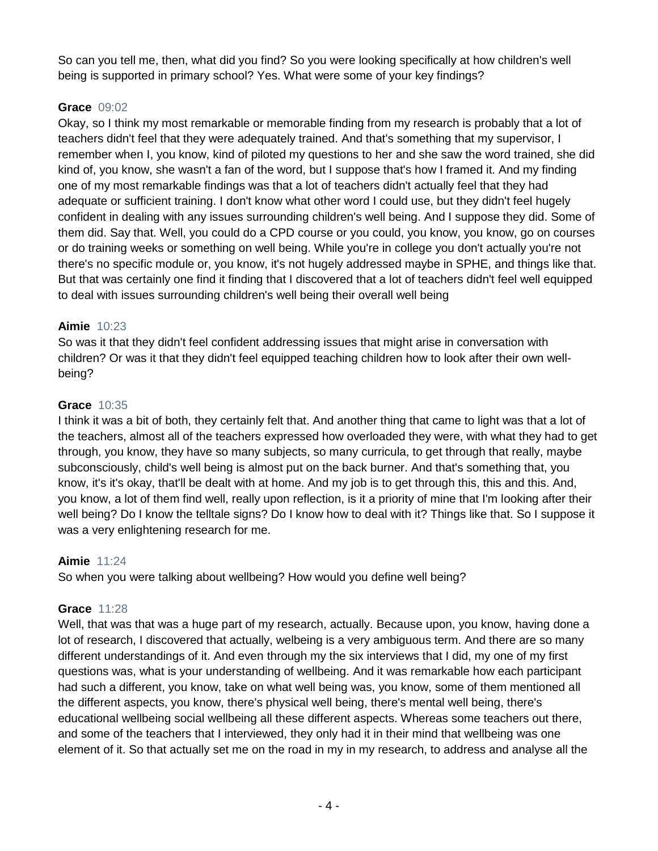So can you tell me, then, what did you find? So you were looking specifically at how children's well being is supported in primary school? Yes. What were some of your key findings?

## **Grace** 09:02

Okay, so I think my most remarkable or memorable finding from my research is probably that a lot of teachers didn't feel that they were adequately trained. And that's something that my supervisor, I remember when I, you know, kind of piloted my questions to her and she saw the word trained, she did kind of, you know, she wasn't a fan of the word, but I suppose that's how I framed it. And my finding one of my most remarkable findings was that a lot of teachers didn't actually feel that they had adequate or sufficient training. I don't know what other word I could use, but they didn't feel hugely confident in dealing with any issues surrounding children's well being. And I suppose they did. Some of them did. Say that. Well, you could do a CPD course or you could, you know, you know, go on courses or do training weeks or something on well being. While you're in college you don't actually you're not there's no specific module or, you know, it's not hugely addressed maybe in SPHE, and things like that. But that was certainly one find it finding that I discovered that a lot of teachers didn't feel well equipped to deal with issues surrounding children's well being their overall well being

## **Aimie** 10:23

So was it that they didn't feel confident addressing issues that might arise in conversation with children? Or was it that they didn't feel equipped teaching children how to look after their own wellbeing?

#### **Grace** 10:35

I think it was a bit of both, they certainly felt that. And another thing that came to light was that a lot of the teachers, almost all of the teachers expressed how overloaded they were, with what they had to get through, you know, they have so many subjects, so many curricula, to get through that really, maybe subconsciously, child's well being is almost put on the back burner. And that's something that, you know, it's it's okay, that'll be dealt with at home. And my job is to get through this, this and this. And, you know, a lot of them find well, really upon reflection, is it a priority of mine that I'm looking after their well being? Do I know the telltale signs? Do I know how to deal with it? Things like that. So I suppose it was a very enlightening research for me.

## **Aimie** 11:24

So when you were talking about wellbeing? How would you define well being?

#### **Grace** 11:28

Well, that was that was a huge part of my research, actually. Because upon, you know, having done a lot of research, I discovered that actually, welbeing is a very ambiguous term. And there are so many different understandings of it. And even through my the six interviews that I did, my one of my first questions was, what is your understanding of wellbeing. And it was remarkable how each participant had such a different, you know, take on what well being was, you know, some of them mentioned all the different aspects, you know, there's physical well being, there's mental well being, there's educational wellbeing social wellbeing all these different aspects. Whereas some teachers out there, and some of the teachers that I interviewed, they only had it in their mind that wellbeing was one element of it. So that actually set me on the road in my in my research, to address and analyse all the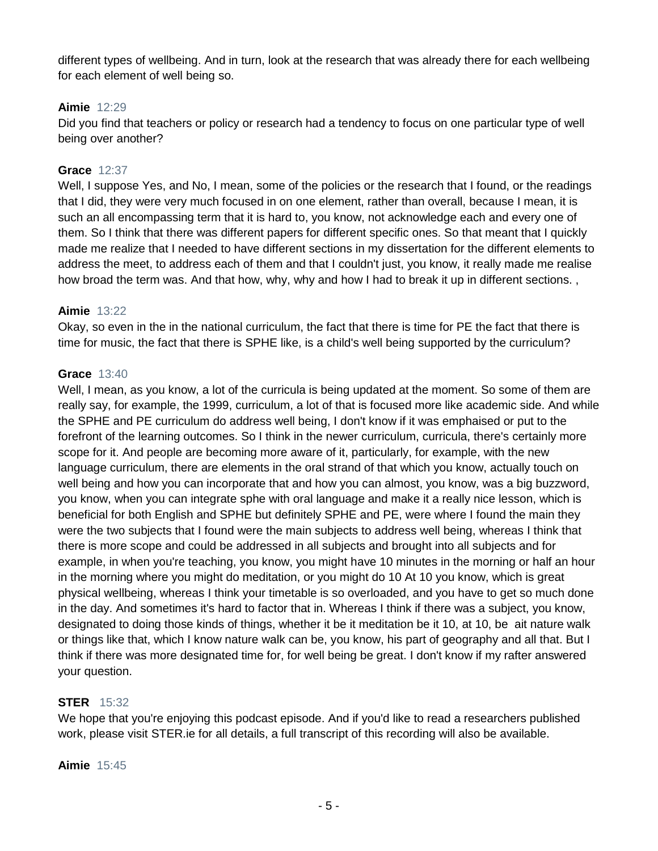different types of wellbeing. And in turn, look at the research that was already there for each wellbeing for each element of well being so.

## **Aimie** 12:29

Did you find that teachers or policy or research had a tendency to focus on one particular type of well being over another?

#### **Grace** 12:37

Well, I suppose Yes, and No, I mean, some of the policies or the research that I found, or the readings that I did, they were very much focused in on one element, rather than overall, because I mean, it is such an all encompassing term that it is hard to, you know, not acknowledge each and every one of them. So I think that there was different papers for different specific ones. So that meant that I quickly made me realize that I needed to have different sections in my dissertation for the different elements to address the meet, to address each of them and that I couldn't just, you know, it really made me realise how broad the term was. And that how, why, why and how I had to break it up in different sections.,

#### **Aimie** 13:22

Okay, so even in the in the national curriculum, the fact that there is time for PE the fact that there is time for music, the fact that there is SPHE like, is a child's well being supported by the curriculum?

#### **Grace** 13:40

Well, I mean, as you know, a lot of the curricula is being updated at the moment. So some of them are really say, for example, the 1999, curriculum, a lot of that is focused more like academic side. And while the SPHE and PE curriculum do address well being, I don't know if it was emphaised or put to the forefront of the learning outcomes. So I think in the newer curriculum, curricula, there's certainly more scope for it. And people are becoming more aware of it, particularly, for example, with the new language curriculum, there are elements in the oral strand of that which you know, actually touch on well being and how you can incorporate that and how you can almost, you know, was a big buzzword, you know, when you can integrate sphe with oral language and make it a really nice lesson, which is beneficial for both English and SPHE but definitely SPHE and PE, were where I found the main they were the two subjects that I found were the main subjects to address well being, whereas I think that there is more scope and could be addressed in all subjects and brought into all subjects and for example, in when you're teaching, you know, you might have 10 minutes in the morning or half an hour in the morning where you might do meditation, or you might do 10 At 10 you know, which is great physical wellbeing, whereas I think your timetable is so overloaded, and you have to get so much done in the day. And sometimes it's hard to factor that in. Whereas I think if there was a subject, you know, designated to doing those kinds of things, whether it be it meditation be it 10, at 10, be ait nature walk or things like that, which I know nature walk can be, you know, his part of geography and all that. But I think if there was more designated time for, for well being be great. I don't know if my rafter answered your question.

## **STER** 15:32

We hope that you're enjoying this podcast episode. And if you'd like to read a researchers published work, please visit STER.ie for all details, a full transcript of this recording will also be available.

#### **Aimie** 15:45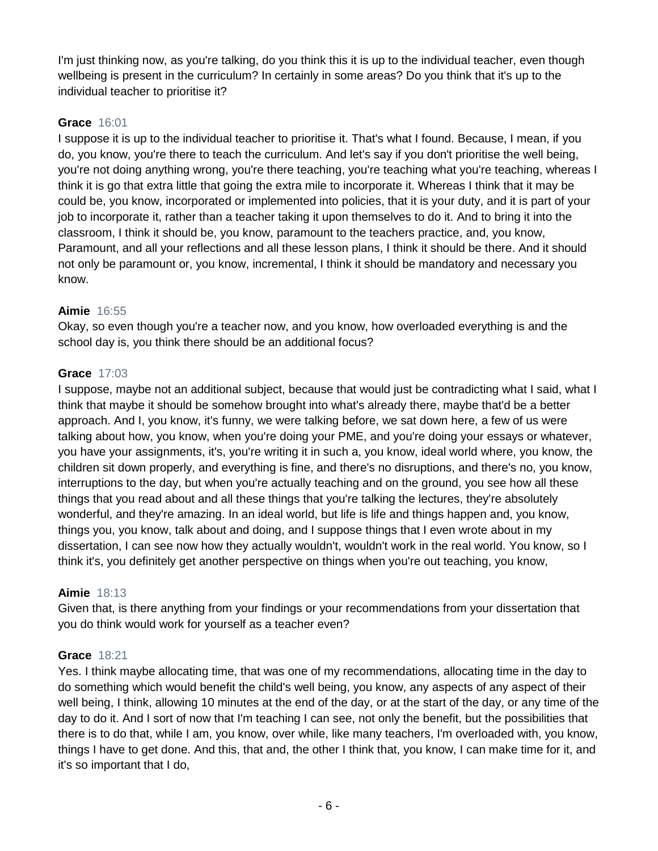I'm just thinking now, as you're talking, do you think this it is up to the individual teacher, even though wellbeing is present in the curriculum? In certainly in some areas? Do you think that it's up to the individual teacher to prioritise it?

# **Grace** 16:01

I suppose it is up to the individual teacher to prioritise it. That's what I found. Because, I mean, if you do, you know, you're there to teach the curriculum. And let's say if you don't prioritise the well being, you're not doing anything wrong, you're there teaching, you're teaching what you're teaching, whereas I think it is go that extra little that going the extra mile to incorporate it. Whereas I think that it may be could be, you know, incorporated or implemented into policies, that it is your duty, and it is part of your job to incorporate it, rather than a teacher taking it upon themselves to do it. And to bring it into the classroom, I think it should be, you know, paramount to the teachers practice, and, you know, Paramount, and all your reflections and all these lesson plans, I think it should be there. And it should not only be paramount or, you know, incremental, I think it should be mandatory and necessary you know.

## **Aimie** 16:55

Okay, so even though you're a teacher now, and you know, how overloaded everything is and the school day is, you think there should be an additional focus?

## **Grace** 17:03

I suppose, maybe not an additional subject, because that would just be contradicting what I said, what I think that maybe it should be somehow brought into what's already there, maybe that'd be a better approach. And I, you know, it's funny, we were talking before, we sat down here, a few of us were talking about how, you know, when you're doing your PME, and you're doing your essays or whatever, you have your assignments, it's, you're writing it in such a, you know, ideal world where, you know, the children sit down properly, and everything is fine, and there's no disruptions, and there's no, you know, interruptions to the day, but when you're actually teaching and on the ground, you see how all these things that you read about and all these things that you're talking the lectures, they're absolutely wonderful, and they're amazing. In an ideal world, but life is life and things happen and, you know, things you, you know, talk about and doing, and I suppose things that I even wrote about in my dissertation, I can see now how they actually wouldn't, wouldn't work in the real world. You know, so I think it's, you definitely get another perspective on things when you're out teaching, you know,

## **Aimie** 18:13

Given that, is there anything from your findings or your recommendations from your dissertation that you do think would work for yourself as a teacher even?

## **Grace** 18:21

Yes. I think maybe allocating time, that was one of my recommendations, allocating time in the day to do something which would benefit the child's well being, you know, any aspects of any aspect of their well being, I think, allowing 10 minutes at the end of the day, or at the start of the day, or any time of the day to do it. And I sort of now that I'm teaching I can see, not only the benefit, but the possibilities that there is to do that, while I am, you know, over while, like many teachers, I'm overloaded with, you know, things I have to get done. And this, that and, the other I think that, you know, I can make time for it, and it's so important that I do,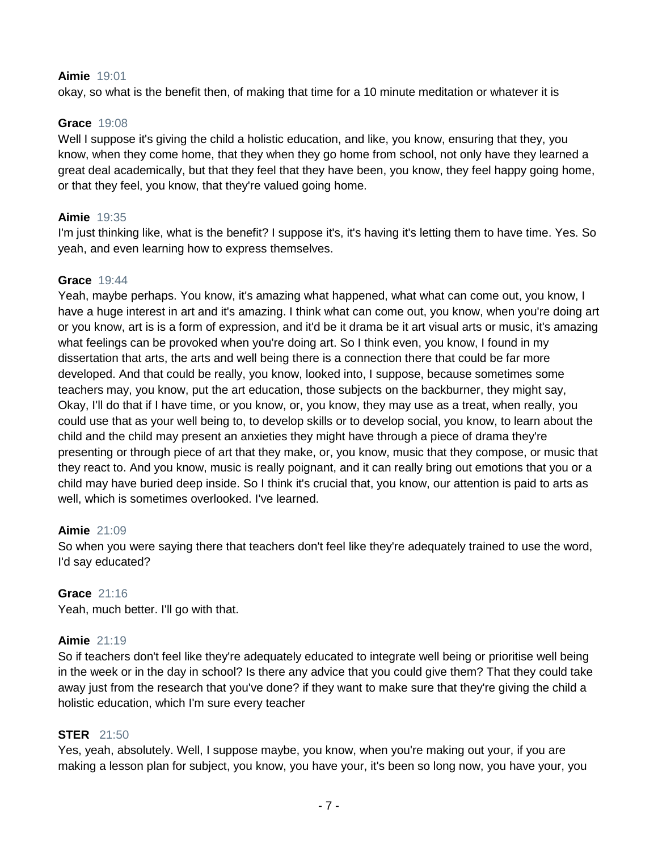#### **Aimie** 19:01

okay, so what is the benefit then, of making that time for a 10 minute meditation or whatever it is

## **Grace** 19:08

Well I suppose it's giving the child a holistic education, and like, you know, ensuring that they, you know, when they come home, that they when they go home from school, not only have they learned a great deal academically, but that they feel that they have been, you know, they feel happy going home, or that they feel, you know, that they're valued going home.

#### **Aimie** 19:35

I'm just thinking like, what is the benefit? I suppose it's, it's having it's letting them to have time. Yes. So yeah, and even learning how to express themselves.

#### **Grace** 19:44

Yeah, maybe perhaps. You know, it's amazing what happened, what what can come out, you know, I have a huge interest in art and it's amazing. I think what can come out, you know, when you're doing art or you know, art is is a form of expression, and it'd be it drama be it art visual arts or music, it's amazing what feelings can be provoked when you're doing art. So I think even, you know, I found in my dissertation that arts, the arts and well being there is a connection there that could be far more developed. And that could be really, you know, looked into, I suppose, because sometimes some teachers may, you know, put the art education, those subjects on the backburner, they might say, Okay, I'll do that if I have time, or you know, or, you know, they may use as a treat, when really, you could use that as your well being to, to develop skills or to develop social, you know, to learn about the child and the child may present an anxieties they might have through a piece of drama they're presenting or through piece of art that they make, or, you know, music that they compose, or music that they react to. And you know, music is really poignant, and it can really bring out emotions that you or a child may have buried deep inside. So I think it's crucial that, you know, our attention is paid to arts as well, which is sometimes overlooked. I've learned.

## **Aimie** 21:09

So when you were saying there that teachers don't feel like they're adequately trained to use the word, I'd say educated?

#### **Grace** 21:16

Yeah, much better. I'll go with that.

## **Aimie** 21:19

So if teachers don't feel like they're adequately educated to integrate well being or prioritise well being in the week or in the day in school? Is there any advice that you could give them? That they could take away just from the research that you've done? if they want to make sure that they're giving the child a holistic education, which I'm sure every teacher

#### **STER** 21:50

Yes, yeah, absolutely. Well, I suppose maybe, you know, when you're making out your, if you are making a lesson plan for subject, you know, you have your, it's been so long now, you have your, you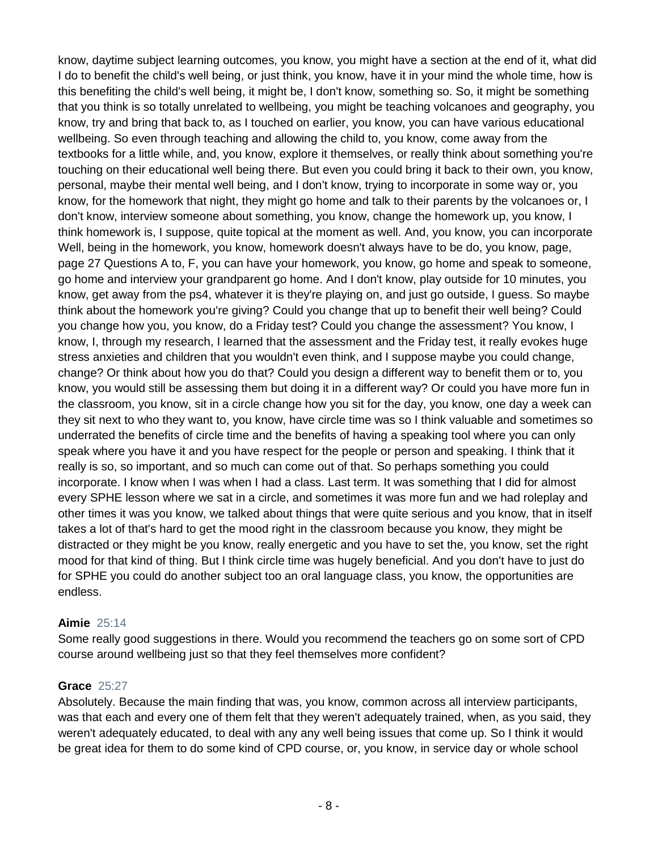know, daytime subject learning outcomes, you know, you might have a section at the end of it, what did I do to benefit the child's well being, or just think, you know, have it in your mind the whole time, how is this benefiting the child's well being, it might be, I don't know, something so. So, it might be something that you think is so totally unrelated to wellbeing, you might be teaching volcanoes and geography, you know, try and bring that back to, as I touched on earlier, you know, you can have various educational wellbeing. So even through teaching and allowing the child to, you know, come away from the textbooks for a little while, and, you know, explore it themselves, or really think about something you're touching on their educational well being there. But even you could bring it back to their own, you know, personal, maybe their mental well being, and I don't know, trying to incorporate in some way or, you know, for the homework that night, they might go home and talk to their parents by the volcanoes or, I don't know, interview someone about something, you know, change the homework up, you know, I think homework is, I suppose, quite topical at the moment as well. And, you know, you can incorporate Well, being in the homework, you know, homework doesn't always have to be do, you know, page, page 27 Questions A to, F, you can have your homework, you know, go home and speak to someone, go home and interview your grandparent go home. And I don't know, play outside for 10 minutes, you know, get away from the ps4, whatever it is they're playing on, and just go outside, I guess. So maybe think about the homework you're giving? Could you change that up to benefit their well being? Could you change how you, you know, do a Friday test? Could you change the assessment? You know, I know, I, through my research, I learned that the assessment and the Friday test, it really evokes huge stress anxieties and children that you wouldn't even think, and I suppose maybe you could change, change? Or think about how you do that? Could you design a different way to benefit them or to, you know, you would still be assessing them but doing it in a different way? Or could you have more fun in the classroom, you know, sit in a circle change how you sit for the day, you know, one day a week can they sit next to who they want to, you know, have circle time was so I think valuable and sometimes so underrated the benefits of circle time and the benefits of having a speaking tool where you can only speak where you have it and you have respect for the people or person and speaking. I think that it really is so, so important, and so much can come out of that. So perhaps something you could incorporate. I know when I was when I had a class. Last term. It was something that I did for almost every SPHE lesson where we sat in a circle, and sometimes it was more fun and we had roleplay and other times it was you know, we talked about things that were quite serious and you know, that in itself takes a lot of that's hard to get the mood right in the classroom because you know, they might be distracted or they might be you know, really energetic and you have to set the, you know, set the right mood for that kind of thing. But I think circle time was hugely beneficial. And you don't have to just do for SPHE you could do another subject too an oral language class, you know, the opportunities are endless.

## **Aimie** 25:14

Some really good suggestions in there. Would you recommend the teachers go on some sort of CPD course around wellbeing just so that they feel themselves more confident?

#### **Grace** 25:27

Absolutely. Because the main finding that was, you know, common across all interview participants, was that each and every one of them felt that they weren't adequately trained, when, as you said, they weren't adequately educated, to deal with any any well being issues that come up. So I think it would be great idea for them to do some kind of CPD course, or, you know, in service day or whole school